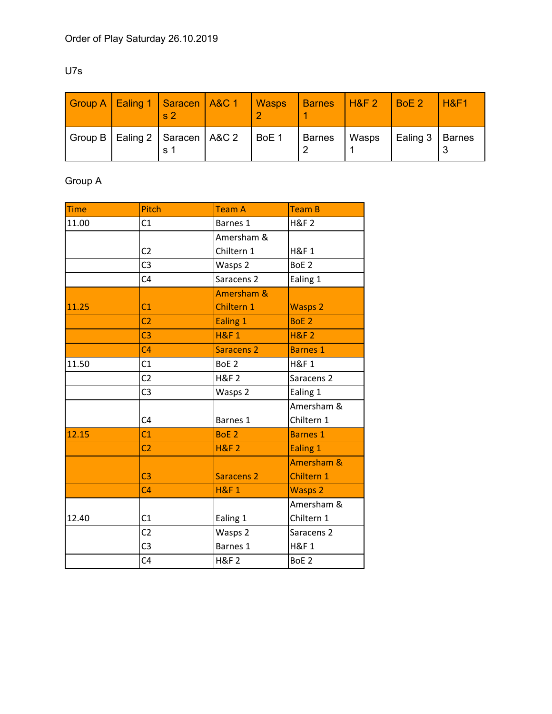### U7s

|  | Group A   Ealing 1   Saracen   A&C 1   Wasps<br>$\mathbf{s}$ 2 |       | <b>Barnes</b> | $H\&F2$ | $\overline{B}$ BoE 2 | H8F1 |
|--|----------------------------------------------------------------|-------|---------------|---------|----------------------|------|
|  | Group B   Ealing 2   Saracen   A&C 2<br>$\mathbf{s}$ 1         | BoE 1 | <b>Barnes</b> | Wasps   | Ealing 3   Barnes    |      |

# Group A

| <b>Time</b> | Pitch          | Team A                | <b>Team B</b>         |
|-------------|----------------|-----------------------|-----------------------|
| 11.00       | C1             | Barnes 1              | <b>H&amp;F2</b>       |
|             |                | Amersham &            |                       |
|             | C <sub>2</sub> | Chiltern 1            | <b>H&amp;F1</b>       |
|             | C <sub>3</sub> | Wasps 2               | BoE <sub>2</sub>      |
|             | C <sub>4</sub> | Saracens <sub>2</sub> | Ealing 1              |
|             |                | Amersham &            |                       |
| 11.25       | C1             | Chiltern 1            | <b>Wasps 2</b>        |
|             | C <sub>2</sub> | Ealing 1              | BoE <sub>2</sub>      |
|             | C <sub>3</sub> | <b>H&amp;F1</b>       | <b>H&amp;F 2</b>      |
|             | C <sub>4</sub> | <b>Saracens 2</b>     | <b>Barnes 1</b>       |
| 11.50       | C1             | BoE <sub>2</sub>      | <b>H&amp;F1</b>       |
|             | C <sub>2</sub> | <b>H&amp;F2</b>       | Saracens <sub>2</sub> |
|             | C <sub>3</sub> | Wasps 2               | Ealing 1              |
|             |                |                       | Amersham &            |
|             | C <sub>4</sub> | Barnes 1              | Chiltern 1            |
| 12.15       | C <sub>1</sub> | BoE <sub>2</sub>      | <b>Barnes 1</b>       |
|             | C <sub>2</sub> | <b>H&amp;F 2</b>      | Ealing 1              |
|             |                |                       | Amersham &            |
|             | C <sub>3</sub> | <b>Saracens 2</b>     | Chiltern 1            |
|             | C <sub>4</sub> | <b>H&amp;F1</b>       | <b>Wasps 2</b>        |
|             |                |                       | Amersham &            |
| 12.40       | C1             | Ealing 1              | Chiltern 1            |
|             | C <sub>2</sub> | Wasps 2               | Saracens <sub>2</sub> |
|             | C <sub>3</sub> | Barnes 1              | <b>H&amp;F1</b>       |
|             | C <sub>4</sub> | <b>H&amp;F2</b>       | BoE <sub>2</sub>      |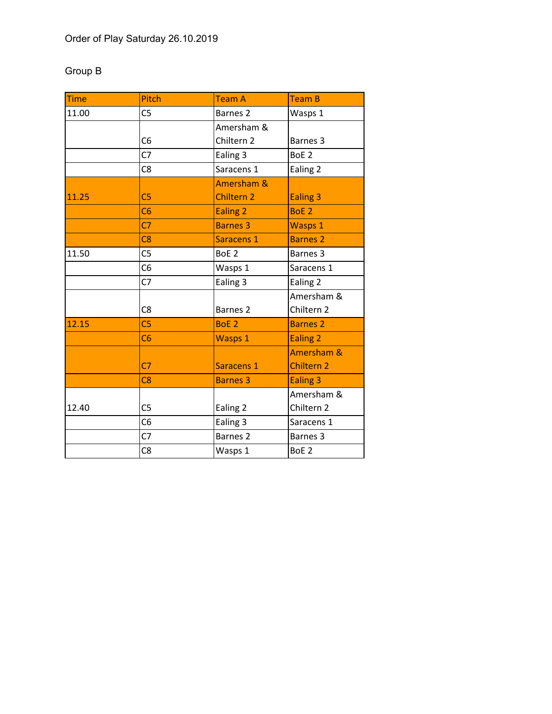# Group B

| <b>Time</b> | Pitch          | <b>Team A</b>       | <b>Team B</b>     |
|-------------|----------------|---------------------|-------------------|
| 11.00       | C <sub>5</sub> | Barnes <sub>2</sub> | Wasps 1           |
|             |                | Amersham &          |                   |
|             | C <sub>6</sub> | Chiltern 2          | Barnes 3          |
|             | C <sub>7</sub> | Ealing 3            | BoE <sub>2</sub>  |
|             | C <sub>8</sub> | Saracens 1          | Ealing 2          |
|             |                | Amersham &          |                   |
| 11.25       | C <sub>5</sub> | <b>Chiltern 2</b>   | <b>Ealing 3</b>   |
|             | C6             | <b>Ealing 2</b>     | BoE <sub>2</sub>  |
|             | C <sub>7</sub> | <b>Barnes 3</b>     | <b>Wasps 1</b>    |
|             | C8             | Saracens 1          | <b>Barnes 2</b>   |
| 11.50       | C <sub>5</sub> | BoE <sub>2</sub>    | Barnes 3          |
|             | C <sub>6</sub> | Wasps 1             | Saracens 1        |
|             | C7             | Ealing 3            | Ealing 2          |
|             |                |                     | Amersham &        |
|             | C <sub>8</sub> | Barnes <sub>2</sub> | Chiltern 2        |
| 12.15       | C <sub>5</sub> | BoE <sub>2</sub>    | <b>Barnes 2</b>   |
|             | C6             | <b>Wasps 1</b>      | <b>Ealing 2</b>   |
|             |                |                     | Amersham &        |
|             | C <sub>7</sub> | Saracens 1          | <b>Chiltern 2</b> |
|             | C8             | <b>Barnes 3</b>     | <b>Ealing 3</b>   |
|             |                |                     | Amersham &        |
| 12.40       | C <sub>5</sub> | Ealing 2            | Chiltern 2        |
|             | C <sub>6</sub> | Ealing 3            | Saracens 1        |
|             | C <sub>7</sub> | <b>Barnes 2</b>     | Barnes 3          |
|             | C <sub>8</sub> | Wasps 1             | BoE <sub>2</sub>  |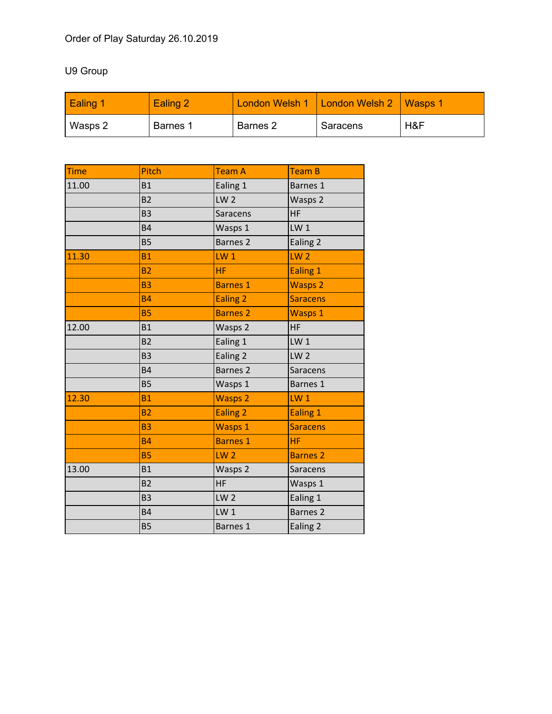## U9 Group

| Ealing 1 | Ealing 2 |                     | London Welsh 1   London Welsh 2   Wasps 1 |     |
|----------|----------|---------------------|-------------------------------------------|-----|
| Wasps 2  | Barnes 1 | Barnes <sub>2</sub> | Saracens                                  | H&F |

| <b>Time</b> | Pitch          | <b>Team A</b>       | <b>Team B</b>   |
|-------------|----------------|---------------------|-----------------|
| 11.00       | <b>B1</b>      | Ealing 1            | Barnes 1        |
|             | <b>B2</b>      | LW <sub>2</sub>     | Wasps 2         |
|             | <b>B3</b>      | Saracens            | <b>HF</b>       |
|             | <b>B4</b>      | Wasps 1             | LW <sub>1</sub> |
|             | <b>B5</b>      | Barnes <sub>2</sub> | Ealing 2        |
| 11.30       | <b>B1</b>      | $LW_1$              | LW <sub>2</sub> |
|             | B <sub>2</sub> | <b>HF</b>           | Ealing 1        |
|             | <b>B3</b>      | <b>Barnes 1</b>     | <b>Wasps 2</b>  |
|             | <b>B4</b>      | Ealing 2            | <b>Saracens</b> |
|             | <b>B5</b>      | <b>Barnes 2</b>     | <b>Wasps 1</b>  |
| 12.00       | <b>B1</b>      | Wasps 2             | <b>HF</b>       |
|             | <b>B2</b>      | Ealing 1            | $LW_1$          |
|             | <b>B3</b>      | Ealing 2            | LW <sub>2</sub> |
|             | <b>B4</b>      | <b>Barnes 2</b>     | Saracens        |
|             | <b>B5</b>      | Wasps 1             | Barnes 1        |
| 12.30       | <b>B1</b>      | <b>Wasps 2</b>      | $LW_1$          |
|             | B <sub>2</sub> | Ealing <sub>2</sub> | Ealing 1        |
|             | <b>B3</b>      | <b>Wasps 1</b>      | <b>Saracens</b> |
|             | <b>B4</b>      | <b>Barnes 1</b>     | <b>HF</b>       |
|             | <b>B5</b>      | LW <sub>2</sub>     | <b>Barnes 2</b> |
| 13.00       | <b>B1</b>      | Wasps 2             | Saracens        |
|             | B <sub>2</sub> | <b>HF</b>           | Wasps 1         |
|             | B <sub>3</sub> | LW <sub>2</sub>     | Ealing 1        |
|             | <b>B4</b>      | LW <sub>1</sub>     | <b>Barnes 2</b> |
|             | <b>B5</b>      | Barnes 1            | Ealing 2        |
|             |                |                     |                 |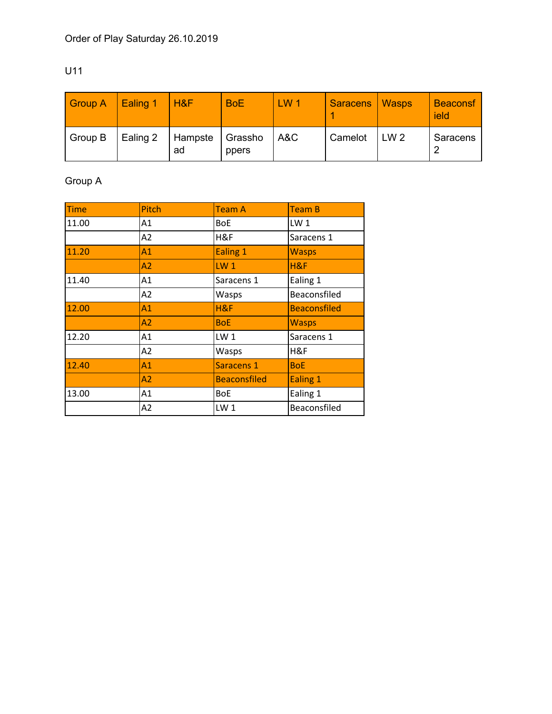| ×<br>۰.<br>.,<br>v |  |  |
|--------------------|--|--|
|                    |  |  |

| <b>Group A</b> | Ealing 1 | l H&F         | <b>BoE</b>       | LW <sub>1</sub> | <b>Saracens</b> | <b>Wasps</b>    | <b>Beaconsf</b><br>ield |
|----------------|----------|---------------|------------------|-----------------|-----------------|-----------------|-------------------------|
| Group B        | Ealing 2 | Hampste<br>ad | Grassho<br>ppers | A&C             | Camelot         | LW <sub>2</sub> | Saracens<br>ົ           |

# Group A

| <b>Time</b> | <b>Pitch</b>   | <b>Team A</b>       | <b>Team B</b>       |
|-------------|----------------|---------------------|---------------------|
| 11.00       | A1             | <b>BoE</b>          | LW <sub>1</sub>     |
|             | A <sub>2</sub> | H&F                 | Saracens 1          |
| 11.20       | A1             | Ealing 1            | <b>Wasps</b>        |
|             | A2             | LW <sub>1</sub>     | H&F                 |
| 11.40       | A1             | Saracens 1          | Ealing 1            |
|             | A2             | Wasps               | Beaconsfiled        |
| 12.00       | A1             | H&F                 | <b>Beaconsfiled</b> |
|             | A2             | <b>BoE</b>          | <b>Wasps</b>        |
| 12.20       | A1             | LW <sub>1</sub>     | Saracens 1          |
|             | A2             | Wasps               | H&F                 |
| 12.40       | A1             | Saracens 1          | <b>BoE</b>          |
|             | A2             | <b>Beaconsfiled</b> | Ealing 1            |
| 13.00       | A1             | <b>BoE</b>          | Ealing 1            |
|             | A2             | LW <sub>1</sub>     | Beaconsfiled        |